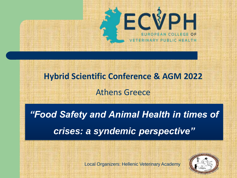

**Hybrid Scientific Conference & AGM 2022** Athens Greece

*"Food Safety and Animal Health in times of crises: a syndemic perspective"*



Local Organizers: Hellenic Veterinary Academy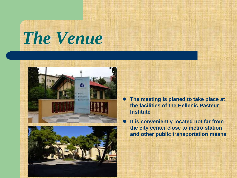## *The Venue*





- **The meeting is planed to take place at the facilities of the Hellenic Pasteur Institute**
- **It is conveniently located not far from the city center close to metro station and other public transportation means**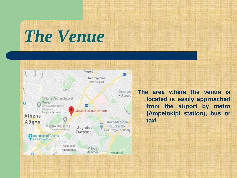# *The Venue*



**The area where the venue is located is easily approached from the airport by metro (Ampelokipi station), bus or taxi**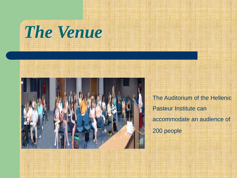



The Auditorium of the Hellenic Pasteur Institute can accommodate an audience of 200 people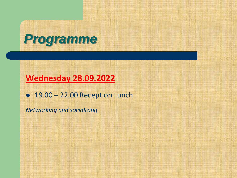

#### **Wednesday 28.09.2022**

● 19.00 – 22.00 Reception Lunch

*Networking and socializing*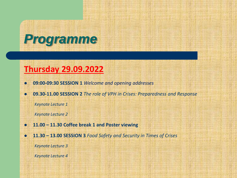

#### **Thursday 29.09.2022**

- **09:00-09:30 SESSION 1** *Welcome and opening addresses*
- **09.30-11.00 SESSION 2** *The role of VPH in Crises: Preparedness and Response*

*Keynote Lecture 1*

*Keynote Lecture 2*

- **11.00 – 11.30 Coffee break 1 and Poster viewing**
- **11.30 – 13.00 SESSION 3** *Food Safety and Security in Times of Crises Keynote Lecture 3*

*Keynote Lecture 4*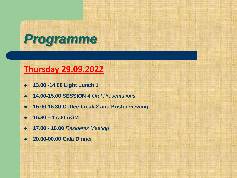

#### **Thursday 29.09.2022**

- **13.00 -14.00 Light Lunch 1**
- **14.00-15.00 SESSION 4** *Oral Presentations*
- **15.00-15.30 Coffee break 2 and Poster viewing**
- **15.30 – 17.00 AGM**
- **17.00 - 18.00** *Residents Meeting*
- **20.00-00.00 Gala Dinner**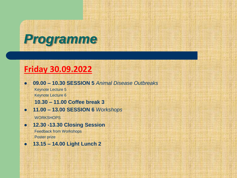### *Programme*

#### **Friday 30.09.2022**

- **09.00 – 10.30 SESSION 5** *Animal Disease Outbreaks* Keynote Lecture 5 Keynote Lecture 6 **10.30 – 11.00 Coffee break 3**
- **11.00 – 13.00 SESSION 6** *Workshops* WORKSHOPS
- **12.30 -13.30 Closing Session**  Feedback from Workshops Poster prize
- **13.15 – 14.00 Light Lunch 2**